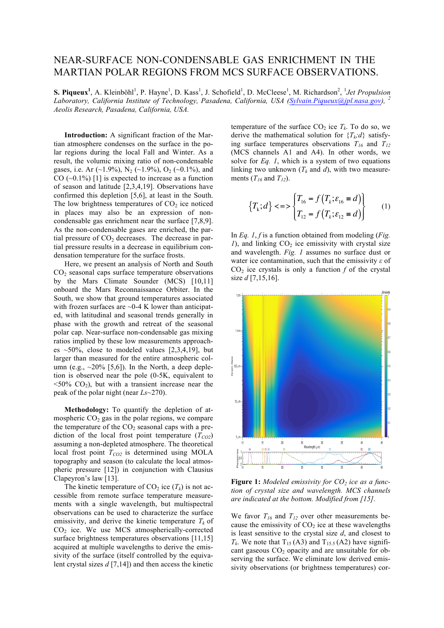## NEAR-SURFACE NON-CONDENSABLE GAS ENRICHMENT IN THE MARTIAN POLAR REGIONS FROM MCS SURFACE OBSERVATIONS.

**S. Piqueux<sup>1</sup>**, A. Kleinböhl<sup>1</sup>, P. Hayne<sup>1</sup>, D. Kass<sup>1</sup>, J. Schofield<sup>1</sup>, D. McCleese<sup>1</sup>, M. Richardson<sup>2</sup>, <sup>1</sup>*Jet Propulsion*<br>*Lakonstany, California Institute of Technology, Pasadona, California, USA (Sylvain Biayawa Laboratory, California Institute of Technology, Pasadena, California, USA (Sylvain.Piqueux@jpl.nasa.gov), Aeolis Research, Pasadena, California, USA.*

**Introduction:** A significant fraction of the Martian atmosphere condenses on the surface in the polar regions during the local Fall and Winter. As a result, the volumic mixing ratio of non-condensable gases, i.e. Ar  $(\sim 1.9\%)$ , N<sub>2</sub>  $(\sim 1.9\%)$ , O<sub>2</sub>  $(\sim 0.1\%)$ , and CO  $(\sim 0.1\%)$  [1] is expected to increase as a function of season and latitude [2,3,4,19]. Observations have confirmed this depletion [5,6], at least in the South. The low brightness temperatures of  $CO<sub>2</sub>$  ice noticed in places may also be an expression of noncondensable gas enrichment near the surface [7,8,9]. As the non-condensable gases are enriched, the partial pressure of  $CO<sub>2</sub>$  decreases. The decrease in partial pressure results in a decrease in equilibrium condensation temperature for the surface frosts.

Here, we present an analysis of North and South  $CO<sub>2</sub>$  seasonal caps surface temperature observations by the Mars Climate Sounder (MCS) [10,11] onboard the Mars Reconnaissance Orbiter. In the South, we show that ground temperatures associated with frozen surfaces are  $\sim$ 0-4 K lower than anticipated, with latitudinal and seasonal trends generally in phase with the growth and retreat of the seasonal polar cap. Near-surface non-condensable gas mixing ratios implied by these low measurements approaches  $\approx$  50%, close to modeled values [2,3,4,19], but larger than measured for the entire atmospheric column (e.g.,  $\sim$ 20% [5,6]). In the North, a deep depletion is observed near the pole (0-5K, equivalent to  $\langle 50\% \text{ CO}_2 \rangle$ , but with a transient increase near the peak of the polar night (near *Ls*~270).

**Methodology:** To quantify the depletion of atmospheric  $CO<sub>2</sub>$  gas in the polar regions, we compare the temperature of the  $CO<sub>2</sub>$  seasonal caps with a prediction of the local frost point temperature  $(T_{CO2})$ assuming a non-depleted atmosphere. The theoretical local frost point  $T_{CO2}$  is determined using MOLA topography and season (to calculate the local atmospheric pressure [12]) in conjunction with Clausius Clapeyron's law [13].

The kinetic temperature of  $CO_2$  ice  $(T_k)$  is not accessible from remote surface temperature measurements with a single wavelength, but multispectral observations can be used to characterize the surface emissivity, and derive the kinetic temperature  $T_k$  of  $CO<sub>2</sub>$  ice. We use MCS atmospherically-corrected surface brightness temperatures observations [11,15] acquired at multiple wavelengths to derive the emissivity of the surface (itself controlled by the equivalent crystal sizes *d* [7,14]) and then access the kinetic

temperature of the surface  $CO_2$  ice  $T_k$ . To do so, we derive the mathematical solution for  ${T_k:d}$  satisfying surface temperatures observations  $T_{16}$  and  $T_{12}$ (MCS channels A1 and A4). In other words, we solve for *Eq. 1*, which is a system of two equations linking two unknown  $(T_k$  and  $d)$ , with two measurements  $(T_{16}$  and  $T_{12}$ ).

$$
\{T_k; d\} < =\n \begin{cases}\n T_{16} = f\left(T_k; \varepsilon_{16} = d\right) \\
T_{12} = f\left(T_k; \varepsilon_{12} = d\right)\n \end{cases}\n \tag{1}
$$

In *Eq. 1*, *f* is a function obtained from modeling (*Fig.*   $1$ ), and linking  $CO<sub>2</sub>$  ice emissivity with crystal size and wavelength. *Fig. 1* assumes no surface dust or water ice contamination, such that the emissivity *ε* of  $CO<sub>2</sub>$  ice crystals is only a function  $f$  of the crystal size *d* [7,15,16].



**Figure 1:** Modeled emissivity for CO<sub>2</sub> ice as a func*tion of crystal size and wavelength. MCS channels are indicated at the bottom. Modified from [15].*

We favor  $T_{16}$  and  $T_{12}$  over other measurements because the emissivity of  $CO<sub>2</sub>$  ice at these wavelengths is least sensitive to the crystal size *d*, and closest to  $T_k$ . We note that  $T_{15}$  (A3) and  $T_{15}$  (A2) have significant gaseous  $CO<sub>2</sub>$  opacity and are unsuitable for observing the surface. We eliminate low derived emissivity observations (or brightness temperatures) cor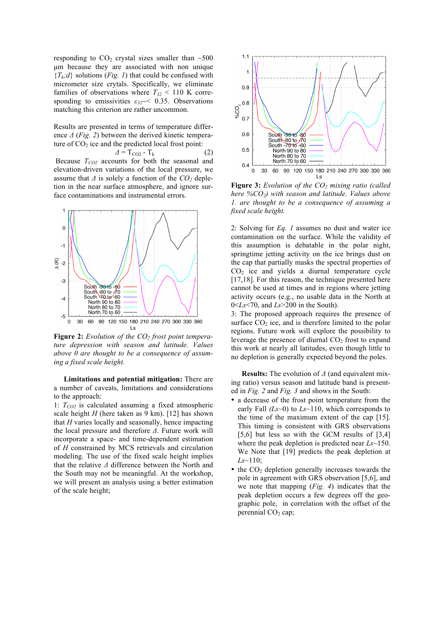responding to  $CO<sub>2</sub>$  crystal sizes smaller than  $~500$ µm because they are associated with non unique  ${T_k; d}$  solutions (*Fig. 1*) that could be confused with micrometer size crytals. Specifically, we eliminate families of observations where  $T_{32}$  < 110 K corresponding to emissivities *ε32*~< 0.35. Observations matching this criterion are rather uncommon.

Results are presented in terms of temperature difference *Δ* (*Fig. 2*) between the derived kinetic temperature of  $CO<sub>2</sub>$  ice and the predicted local frost point:

$$
\Delta = T_{\text{CO2}} - T_{\text{k}} \tag{2}
$$

Because  $T_{CO2}$  accounts for both the seasonal and elevation-driven variations of the local pressure, we assume that  $\Delta$  is solely a function of the  $CO<sub>2</sub>$  depletion in the near surface atmosphere, and ignore surface contaminations and instrumental errors.



**Figure 2:** *Evolution of the CO<sub>2</sub> frost point temperature depression with season and latitude. Values above 0 are thought to be a consequence of assuming a fixed scale height.*

**Limitations and potential mitigation:** There are a number of caveats, limitations and considerations to the approach:

1:  $T_{CO2}$  is calculated assuming a fixed atmospheric scale height *H* (here taken as 9 km). [12] has shown that *H* varies locally and seasonally, hence impacting the local pressure and therefore *Δ*. Future work will incorporate a space- and time-dependent estimation of *H* constrained by MCS retrievals and circulation modeling. The use of the fixed scale height implies that the relative *Δ* difference between the North and the South may not be meaningful. At the workshop, we will present an analysis using a better estimation of the scale height;



**Figure 3:** *Evolution of the CO2 mixing ratio (called here %CO2) with season and latitude. Values above 1. are thought to be a consequence of assuming a fixed scale height.*

2: Solving for *Eq. 1* assumes no dust and water ice contamination on the surface. While the validity of this assumption is debatable in the polar night, springtime jetting activity on the ice brings dust on the cap that partially masks the spectral properties of  $CO<sub>2</sub>$  ice and yields a diurnal temperature cycle [17,18]. For this reason, the technique presented here cannot be used at times and in regions where jetting activity occurs (e.g., no usable data in the North at 0<*Ls*<70, and *Ls*>200 in the South).

3: The proposed approach requires the presence of surface  $CO<sub>2</sub>$  ice, and is therefore limited to the polar regions. Future work will explore the possibility to leverage the presence of diurnal  $CO<sub>2</sub>$  frost to expand this work at nearly all latitudes, even though little to no depletion is generally expected beyond the poles.

**Results:** The evolution of *Δ* (and equivalent mixing ratio) versus season and latitude band is presented in *Fig. 2* and *Fig. 3* and shows in the South:

- a decrease of the frost point temperature from the early Fall *(Ls*~0) to *Ls*~110, which corresponds to the time of the maximum extent of the cap [15]. This timing is consistent with GRS observations [5,6] but less so with the GCM results of [3,4] where the peak depletion is predicted near *Ls*~150. We Note that [19] predicts the peak depletion at *Ls*~110;
- $\bullet$  the  $CO<sub>2</sub>$  depletion generally increases towards the pole in agreement with GRS observation [5,6], and we note that mapping (*Fig. 4*) indicates that the peak depletion occurs a few degrees off the geographic pole, in correlation with the offset of the perennial  $CO<sub>2</sub>$  cap;